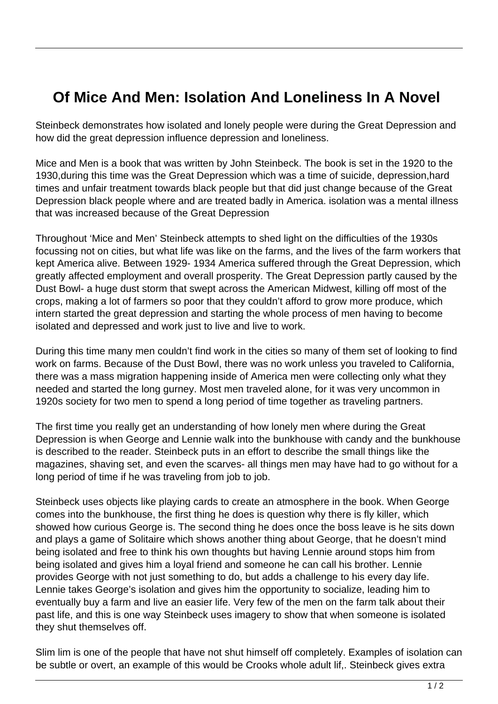## **Of Mice And Men: Isolation And Loneliness In A Novel**

Steinbeck demonstrates how isolated and lonely people were during the Great Depression and how did the great depression influence depression and loneliness.

Mice and Men is a book that was written by John Steinbeck. The book is set in the 1920 to the 1930,during this time was the Great Depression which was a time of suicide, depression,hard times and unfair treatment towards black people but that did just change because of the Great Depression black people where and are treated badly in America. isolation was a mental illness that was increased because of the Great Depression

Throughout 'Mice and Men' Steinbeck attempts to shed light on the difficulties of the 1930s focussing not on cities, but what life was like on the farms, and the lives of the farm workers that kept America alive. Between 1929- 1934 America suffered through the Great Depression, which greatly affected employment and overall prosperity. The Great Depression partly caused by the Dust Bowl- a huge dust storm that swept across the American Midwest, killing off most of the crops, making a lot of farmers so poor that they couldn't afford to grow more produce, which intern started the great depression and starting the whole process of men having to become isolated and depressed and work just to live and live to work.

During this time many men couldn't find work in the cities so many of them set of looking to find work on farms. Because of the Dust Bowl, there was no work unless you traveled to California, there was a mass migration happening inside of America men were collecting only what they needed and started the long gurney. Most men traveled alone, for it was very uncommon in 1920s society for two men to spend a long period of time together as traveling partners.

The first time you really get an understanding of how lonely men where during the Great Depression is when George and Lennie walk into the bunkhouse with candy and the bunkhouse is described to the reader. Steinbeck puts in an effort to describe the small things like the magazines, shaving set, and even the scarves- all things men may have had to go without for a long period of time if he was traveling from job to job.

Steinbeck uses objects like playing cards to create an atmosphere in the book. When George comes into the bunkhouse, the first thing he does is question why there is fly killer, which showed how curious George is. The second thing he does once the boss leave is he sits down and plays a game of Solitaire which shows another thing about George, that he doesn't mind being isolated and free to think his own thoughts but having Lennie around stops him from being isolated and gives him a loyal friend and someone he can call his brother. Lennie provides George with not just something to do, but adds a challenge to his every day life. Lennie takes George's isolation and gives him the opportunity to socialize, leading him to eventually buy a farm and live an easier life. Very few of the men on the farm talk about their past life, and this is one way Steinbeck uses imagery to show that when someone is isolated they shut themselves off.

Slim lim is one of the people that have not shut himself off completely. Examples of isolation can be subtle or overt, an example of this would be Crooks whole adult lif,. Steinbeck gives extra